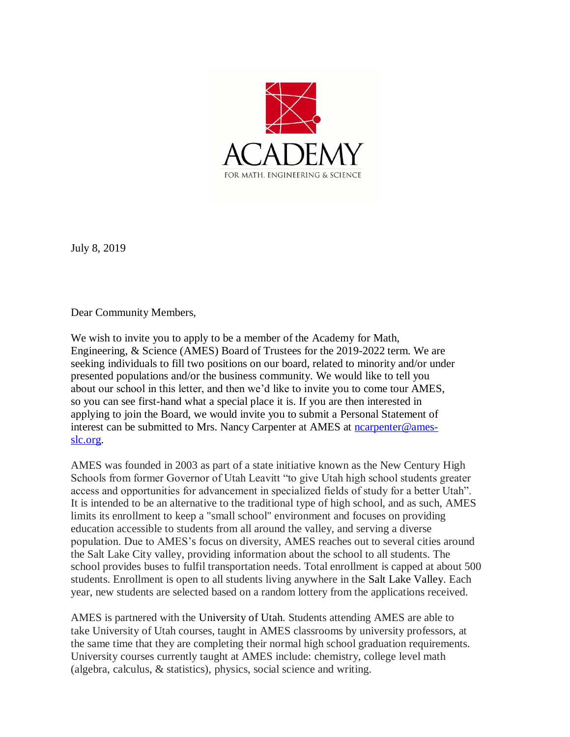

July 8, 2019

Dear Community Members,

We wish to invite you to apply to be a member of the Academy for Math, Engineering, & Science (AMES) Board of Trustees for the 2019-2022 term. We are seeking individuals to fill two positions on our board, related to minority and/or under presented populations and/or the business community. We would like to tell you about our school in this letter, and then we'd like to invite you to come tour AMES, so you can see first-hand what a special place it is. If you are then interested in applying to join the Board, we would invite you to submit a Personal Statement of interest can be submitted to Mrs. Nancy Carpenter at AMES at [ncarpenter@ames](mailto:ncarpenter@ames-slc.org)[slc.org.](mailto:ncarpenter@ames-slc.org)

AMES was founded in 2003 as part of a state initiative known as the New Century High Schools from former Governor of Utah Leavitt "to give Utah high school students greater access and opportunities for advancement in specialized fields of study for a better Utah". It is intended to be an alternative to the traditional type of high school, and as such, AMES limits its enrollment to keep a "small school" environment and focuses on providing education accessible to students from all around the valley, and serving a diverse population. Due to AMES's focus on diversity, AMES reaches out to several cities around the Salt Lake City valley, providing information about the school to all students. The school provides buses to fulfil transportation needs. Total enrollment is capped at about 500 students. Enrollment is open to all students living anywhere in the Salt Lake Valley. Each year, new students are selected based on a random lottery from the applications received.

AMES is partnered with the University of Utah. Students attending AMES are able to take University of Utah courses, taught in AMES classrooms by university professors, at the same time that they are completing their normal high school graduation requirements. University courses currently taught at AMES include: chemistry, college level math (algebra, calculus, & statistics), physics, social science and writing.